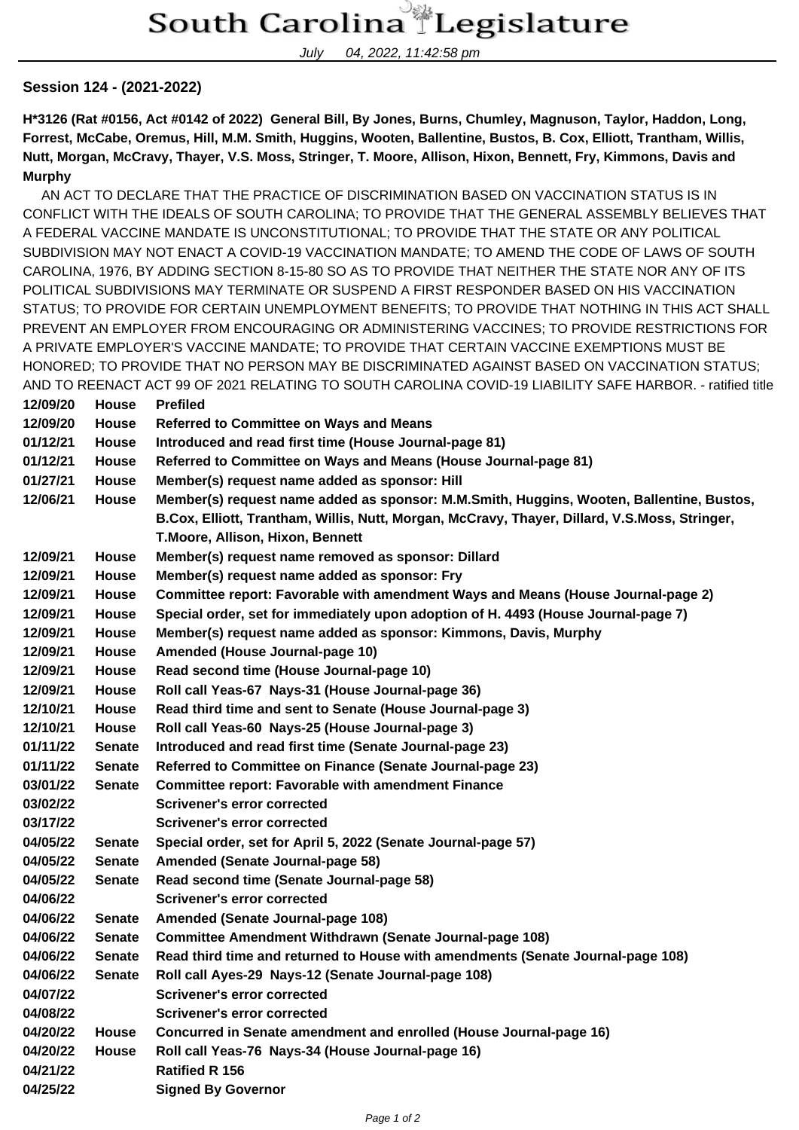July 04, 2022, 11:42:58 pm

## **Session 124 - (2021-2022)**

**H\*3126 (Rat #0156, Act #0142 of 2022) General Bill, By Jones, Burns, Chumley, Magnuson, Taylor, Haddon, Long, Forrest, McCabe, Oremus, Hill, M.M. Smith, Huggins, Wooten, Ballentine, Bustos, B. Cox, Elliott, Trantham, Willis, Nutt, Morgan, McCravy, Thayer, V.S. Moss, Stringer, T. Moore, Allison, Hixon, Bennett, Fry, Kimmons, Davis and Murphy**

 AN ACT TO DECLARE THAT THE PRACTICE OF DISCRIMINATION BASED ON VACCINATION STATUS IS IN CONFLICT WITH THE IDEALS OF SOUTH CAROLINA; TO PROVIDE THAT THE GENERAL ASSEMBLY BELIEVES THAT A FEDERAL VACCINE MANDATE IS UNCONSTITUTIONAL; TO PROVIDE THAT THE STATE OR ANY POLITICAL SUBDIVISION MAY NOT ENACT A COVID-19 VACCINATION MANDATE; TO AMEND THE CODE OF LAWS OF SOUTH CAROLINA, 1976, BY ADDING SECTION 8-15-80 SO AS TO PROVIDE THAT NEITHER THE STATE NOR ANY OF ITS POLITICAL SUBDIVISIONS MAY TERMINATE OR SUSPEND A FIRST RESPONDER BASED ON HIS VACCINATION STATUS; TO PROVIDE FOR CERTAIN UNEMPLOYMENT BENEFITS; TO PROVIDE THAT NOTHING IN THIS ACT SHALL PREVENT AN EMPLOYER FROM ENCOURAGING OR ADMINISTERING VACCINES; TO PROVIDE RESTRICTIONS FOR A PRIVATE EMPLOYER'S VACCINE MANDATE; TO PROVIDE THAT CERTAIN VACCINE EXEMPTIONS MUST BE HONORED; TO PROVIDE THAT NO PERSON MAY BE DISCRIMINATED AGAINST BASED ON VACCINATION STATUS; AND TO REENACT ACT 99 OF 2021 RELATING TO SOUTH CAROLINA COVID-19 LIABILITY SAFE HARBOR. - ratified title

| 12/09/20 | <b>House</b>  | <b>Prefiled</b>                                                                                                                                                                                                               |
|----------|---------------|-------------------------------------------------------------------------------------------------------------------------------------------------------------------------------------------------------------------------------|
| 12/09/20 | House         | <b>Referred to Committee on Ways and Means</b>                                                                                                                                                                                |
| 01/12/21 | <b>House</b>  | Introduced and read first time (House Journal-page 81)                                                                                                                                                                        |
| 01/12/21 | <b>House</b>  | Referred to Committee on Ways and Means (House Journal-page 81)                                                                                                                                                               |
| 01/27/21 | <b>House</b>  | Member(s) request name added as sponsor: Hill                                                                                                                                                                                 |
| 12/06/21 | <b>House</b>  | Member(s) request name added as sponsor: M.M.Smith, Huggins, Wooten, Ballentine, Bustos,<br>B.Cox, Elliott, Trantham, Willis, Nutt, Morgan, McCravy, Thayer, Dillard, V.S.Moss, Stringer,<br>T.Moore, Allison, Hixon, Bennett |
| 12/09/21 | House         | Member(s) request name removed as sponsor: Dillard                                                                                                                                                                            |
| 12/09/21 | <b>House</b>  | Member(s) request name added as sponsor: Fry                                                                                                                                                                                  |
| 12/09/21 | House         | Committee report: Favorable with amendment Ways and Means (House Journal-page 2)                                                                                                                                              |
| 12/09/21 | <b>House</b>  | Special order, set for immediately upon adoption of H. 4493 (House Journal-page 7)                                                                                                                                            |
| 12/09/21 | House         | Member(s) request name added as sponsor: Kimmons, Davis, Murphy                                                                                                                                                               |
| 12/09/21 | <b>House</b>  | Amended (House Journal-page 10)                                                                                                                                                                                               |
| 12/09/21 | <b>House</b>  | Read second time (House Journal-page 10)                                                                                                                                                                                      |
| 12/09/21 | House         | Roll call Yeas-67 Nays-31 (House Journal-page 36)                                                                                                                                                                             |
| 12/10/21 | House         | Read third time and sent to Senate (House Journal-page 3)                                                                                                                                                                     |
| 12/10/21 | <b>House</b>  | Roll call Yeas-60 Nays-25 (House Journal-page 3)                                                                                                                                                                              |
| 01/11/22 | <b>Senate</b> | Introduced and read first time (Senate Journal-page 23)                                                                                                                                                                       |
| 01/11/22 | <b>Senate</b> | Referred to Committee on Finance (Senate Journal-page 23)                                                                                                                                                                     |
| 03/01/22 | <b>Senate</b> | <b>Committee report: Favorable with amendment Finance</b>                                                                                                                                                                     |
| 03/02/22 |               | <b>Scrivener's error corrected</b>                                                                                                                                                                                            |
| 03/17/22 |               | <b>Scrivener's error corrected</b>                                                                                                                                                                                            |
| 04/05/22 | <b>Senate</b> | Special order, set for April 5, 2022 (Senate Journal-page 57)                                                                                                                                                                 |
| 04/05/22 | <b>Senate</b> | Amended (Senate Journal-page 58)                                                                                                                                                                                              |
| 04/05/22 | <b>Senate</b> | Read second time (Senate Journal-page 58)                                                                                                                                                                                     |
| 04/06/22 |               | <b>Scrivener's error corrected</b>                                                                                                                                                                                            |
| 04/06/22 | <b>Senate</b> | Amended (Senate Journal-page 108)                                                                                                                                                                                             |
| 04/06/22 | <b>Senate</b> | <b>Committee Amendment Withdrawn (Senate Journal-page 108)</b>                                                                                                                                                                |
| 04/06/22 | <b>Senate</b> | Read third time and returned to House with amendments (Senate Journal-page 108)                                                                                                                                               |
| 04/06/22 | <b>Senate</b> | Roll call Ayes-29 Nays-12 (Senate Journal-page 108)                                                                                                                                                                           |
| 04/07/22 |               | Scrivener's error corrected                                                                                                                                                                                                   |
| 04/08/22 |               | <b>Scrivener's error corrected</b>                                                                                                                                                                                            |
| 04/20/22 | <b>House</b>  | Concurred in Senate amendment and enrolled (House Journal-page 16)                                                                                                                                                            |
| 04/20/22 | <b>House</b>  | Roll call Yeas-76 Nays-34 (House Journal-page 16)                                                                                                                                                                             |
| 04/21/22 |               | <b>Ratified R 156</b>                                                                                                                                                                                                         |
| 04/25/22 |               | <b>Signed By Governor</b>                                                                                                                                                                                                     |